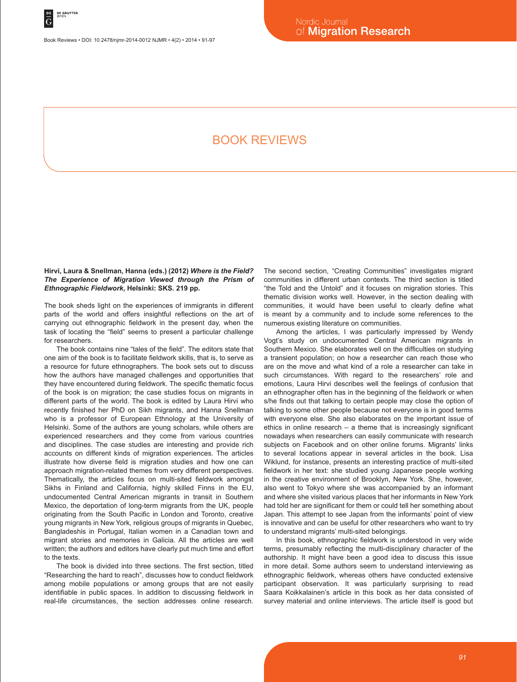Book Reviews • DOI: 10.2478/njmr-2014-0012 NJMR • 4(2) • 2014 • 91-97

# BOOK REVIEWS

**Hirvi, Laura & Snellman, Hanna (eds.) (2012)** *Where is the Field? The Experience of Migration Viewed through the Prism of Ethnographic Fieldwork***, Helsinki: SKS. 219 pp.**

The book sheds light on the experiences of immigrants in different parts of the world and offers insightful reflections on the art of carrying out ethnographic fieldwork in the present day, when the task of locating the "field" seems to present a particular challenge for researchers.

The book contains nine "tales of the field". The editors state that one aim of the book is to facilitate fieldwork skills, that is, to serve as a resource for future ethnographers. The book sets out to discuss how the authors have managed challenges and opportunities that they have encountered during fieldwork. The specific thematic focus of the book is on migration; the case studies focus on migrants in different parts of the world. The book is edited by Laura Hirvi who recently finished her PhD on Sikh migrants, and Hanna Snellman who is a professor of European Ethnology at the University of Helsinki. Some of the authors are young scholars, while others are experienced researchers and they come from various countries and disciplines. The case studies are interesting and provide rich accounts on different kinds of migration experiences. The articles illustrate how diverse field is migration studies and how one can approach migration-related themes from very different perspectives. Thematically, the articles focus on multi-sited fieldwork amongst Sikhs in Finland and California, highly skilled Finns in the EU, undocumented Central American migrants in transit in Southern Mexico, the deportation of long-term migrants from the UK, people originating from the South Pacific in London and Toronto, creative young migrants in New York, religious groups of migrants in Quebec, Bangladeshis in Portugal, Italian women in a Canadian town and migrant stories and memories in Galicia. All the articles are well written; the authors and editors have clearly put much time and effort to the texts.

The book is divided into three sections. The first section, titled "Researching the hard to reach", discusses how to conduct fieldwork among mobile populations or among groups that are not easily identifiable in public spaces. In addition to discussing fieldwork in real-life circumstances, the section addresses online research.

The second section, "Creating Communities" investigates migrant communities in different urban contexts. The third section is titled "the Told and the Untold" and it focuses on migration stories. This thematic division works well. However, in the section dealing with communities, it would have been useful to clearly define what is meant by a community and to include some references to the numerous existing literature on communities.

Among the articles, I was particularly impressed by Wendy Vogt's study on undocumented Central American migrants in Southern Mexico. She elaborates well on the difficulties on studying a transient population; on how a researcher can reach those who are on the move and what kind of a role a researcher can take in such circumstances. With regard to the researchers' role and emotions, Laura Hirvi describes well the feelings of confusion that an ethnographer often has in the beginning of the fieldwork or when s/he finds out that talking to certain people may close the option of talking to some other people because not everyone is in good terms with everyone else. She also elaborates on the important issue of ethics in online research – a theme that is increasingly significant nowadays when researchers can easily communicate with research subjects on Facebook and on other online forums. Migrants' links to several locations appear in several articles in the book. Lisa Wiklund, for instance, presents an interesting practice of multi-sited fieldwork in her text: she studied young Japanese people working in the creative environment of Brooklyn, New York. She, however, also went to Tokyo where she was accompanied by an informant and where she visited various places that her informants in New York had told her are significant for them or could tell her something about Japan. This attempt to see Japan from the informants' point of view is innovative and can be useful for other researchers who want to try to understand migrants' multi-sited belongings.

In this book, ethnographic fieldwork is understood in very wide terms, presumably reflecting the multi-disciplinary character of the authorship. It might have been a good idea to discuss this issue in more detail. Some authors seem to understand interviewing as ethnographic fieldwork, whereas others have conducted extensive participant observation. It was particularly surprising to read Saara Koikkalainen's article in this book as her data consisted of survey material and online interviews. The article itself is good but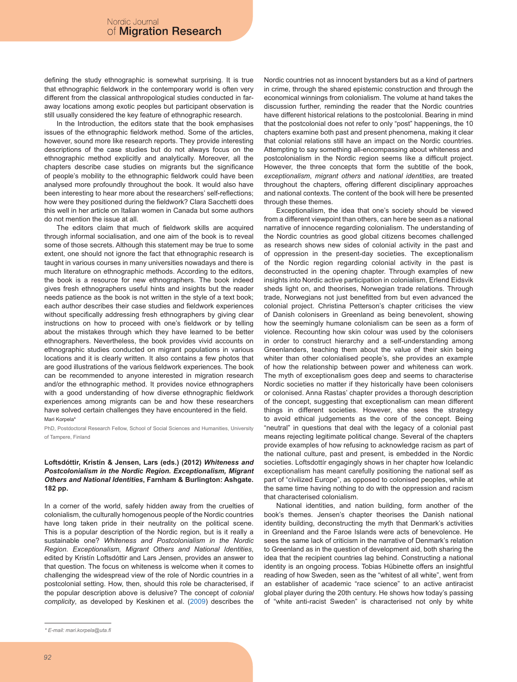defining the study ethnographic is somewhat surprising. It is true that ethnographic fieldwork in the contemporary world is often very different from the classical anthropological studies conducted in faraway locations among exotic peoples but participant observation is still usually considered the key feature of ethnographic research.

In the Introduction, the editors state that the book emphasises issues of the ethnographic fieldwork method. Some of the articles, however, sound more like research reports. They provide interesting descriptions of the case studies but do not always focus on the ethnographic method explicitly and analytically. Moreover, all the chapters describe case studies on migrants but the significance of people's mobility to the ethnographic fieldwork could have been analysed more profoundly throughout the book. It would also have been interesting to hear more about the researchers' self-reflections; how were they positioned during the fieldwork? Clara Sacchetti does this well in her article on Italian women in Canada but some authors do not mention the issue at all.

The editors claim that much of fieldwork skills are acquired through informal socialisation, and one aim of the book is to reveal some of those secrets. Although this statement may be true to some extent, one should not ignore the fact that ethnographic research is taught in various courses in many universities nowadays and there is much literature on ethnographic methods. According to the editors, the book is a resource for new ethnographers. The book indeed gives fresh ethnographers useful hints and insights but the reader needs patience as the book is not written in the style of a text book; each author describes their case studies and fieldwork experiences without specifically addressing fresh ethnographers by giving clear instructions on how to proceed with one's fieldwork or by telling about the mistakes through which they have learned to be better ethnographers. Nevertheless, the book provides vivid accounts on ethnographic studies conducted on migrant populations in various locations and it is clearly written. It also contains a few photos that are good illustrations of the various fieldwork experiences. The book can be recommended to anyone interested in migration research and/or the ethnographic method. It provides novice ethnographers with a good understanding of how diverse ethnographic fieldwork experiences among migrants can be and how these researchers have solved certain challenges they have encountered in the field. Mari Korpela<sup>\*</sup>

PhD, Postdoctoral Research Fellow, School of Social Sciences and Humanities, University of Tampere, Finland

# **Loftsdóttir, Kristín & Jensen, Lars (eds.) (2012)** *Whiteness and Postcolonialism in the Nordic Region. Exceptionalism, Migrant Others and National Identities***, Farnham & Burlington: Ashgate. 182 pp.**

In a corner of the world, safely hidden away from the cruelties of colonialism, the culturally homogenous people of the Nordic countries have long taken pride in their neutrality on the political scene. This is a popular description of the Nordic region, but is it really a sustainable one? *Whiteness and Postcolonialism in the Nordic Region. Exceptionalism, Migrant Others and National Identities*, edited by Kristín Loftsdóttir and Lars Jensen, provides an answer to that question. The focus on whiteness is welcome when it comes to challenging the widespread view of the role of Nordic countries in a postcolonial setting. How, then, should this role be characterised, if the popular description above is delusive? The concept of *colonial complicity*, as developed by Keskinen et al. (2009) describes the

Nordic countries not as innocent bystanders but as a kind of partners in crime, through the shared epistemic construction and through the economical winnings from colonialism. The volume at hand takes the discussion further, reminding the reader that the Nordic countries have different historical relations to the postcolonial. Bearing in mind that the postcolonial does not refer to only "post" happenings, the 10 chapters examine both past and present phenomena, making it clear that colonial relations still have an impact on the Nordic countries. Attempting to say something all-encompassing about whiteness and postcolonialism in the Nordic region seems like a difficult project. However, the three concepts that form the subtitle of the book, *exceptionalism*, *migrant others* and *national identities*, are treated throughout the chapters, offering different disciplinary approaches and national contexts. The content of the book will here be presented through these themes.

Exceptionalism, the idea that one's society should be viewed from a different viewpoint than others, can here be seen as a national narrative of innocence regarding colonialism. The understanding of the Nordic countries as good global citizens becomes challenged as research shows new sides of colonial activity in the past and of oppression in the present-day societies. The exceptionalism of the Nordic region regarding colonial activity in the past is deconstructed in the opening chapter. Through examples of new insights into Nordic active participation in colonialism, Erlend Eidsvik sheds light on, and theorises, Norwegian trade relations. Through trade, Norwegians not just benefitted from but even advanced the colonial project. Christina Petterson's chapter criticises the view of Danish colonisers in Greenland as being benevolent, showing how the seemingly humane colonialism can be seen as a form of violence. Recounting how skin colour was used by the colonisers in order to construct hierarchy and a self-understanding among Greenlanders, teaching them about the value of their skin being whiter than other colonialised people's, she provides an example of how the relationship between power and whiteness can work. The myth of exceptionalism goes deep and seems to characterise Nordic societies no matter if they historically have been colonisers or colonised. Anna Rastas' chapter provides a thorough description of the concept, suggesting that exceptionalism can mean different things in different societies. However, she sees the strategy to avoid ethical judgements as the core of the concept. Being "neutral" in questions that deal with the legacy of a colonial past means rejecting legitimate political change. Several of the chapters provide examples of how refusing to acknowledge racism as part of the national culture, past and present, is embedded in the Nordic societies. Loftsdottír engagingly shows in her chapter how Icelandic exceptionalism has meant carefully positioning the national self as part of "civilized Europe", as opposed to colonised peoples, while at the same time having nothing to do with the oppression and racism that characterised colonialism.

National identities, and nation building, form another of the book's themes. Jensen's chapter theorises the Danish national identity building, deconstructing the myth that Denmark's activities in Greenland and the Faroe Islands were acts of benevolence. He sees the same lack of criticism in the narrative of Denmark's relation to Greenland as in the question of development aid, both sharing the idea that the recipient countries lag behind. Constructing a national identity is an ongoing process. Tobias Hübinette offers an insightful reading of how Sweden, seen as the "whitest of all white", went from an establisher of academic "race science" to an active antiracist global player during the 20th century. He shows how today's passing of "white anti-racist Sweden" is characterised not only by white

*<sup>\*</sup> E-mail: mari.korpela@uta.fi*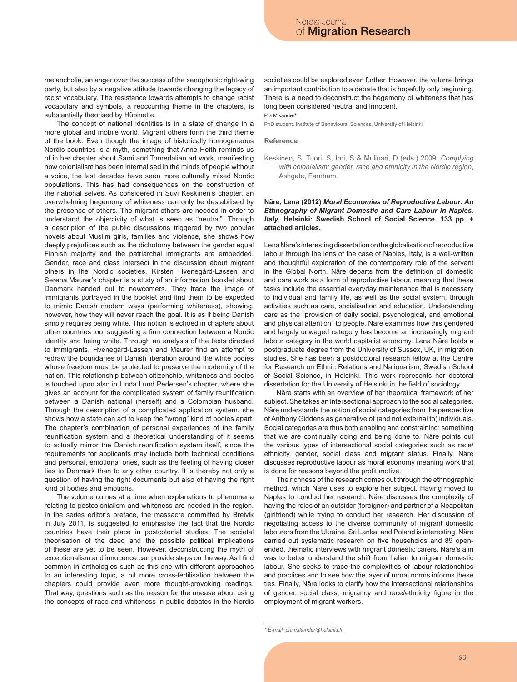melancholia, an anger over the success of the xenophobic right-wing party, but also by a negative attitude towards changing the legacy of racist vocabulary. The resistance towards attempts to change racist vocabulary and symbols, a reoccurring theme in the chapters, is substantially theorised by Hübinette.

The concept of national identities is in a state of change in a more global and mobile world. Migrant others form the third theme of the book. Even though the image of historically homogeneous Nordic countries is a myth, something that Anne Heith reminds us of in her chapter about Sami and Tornedalian art work, manifesting how colonialism has been internalised in the minds of people without a voice, the last decades have seen more culturally mixed Nordic populations. This has had consequences on the construction of the national selves. As considered in Suvi Keskinen's chapter, an overwhelming hegemony of whiteness can only be destabilised by the presence of others. The migrant others are needed in order to understand the objectivity of what is seen as "neutral". Through a description of the public discussions triggered by two popular novels about Muslim girls, families and violence, she shows how deeply prejudices such as the dichotomy between the gender equal Finnish majority and the patriarchal immigrants are embedded. Gender, race and class intersect in the discussion about migrant others in the Nordic societies. Kirsten Hvenegård-Lassen and Serena Maurer's chapter is a study of an information booklet about Denmark handed out to newcomers. They trace the image of immigrants portrayed in the booklet and find them to be expected to mimic Danish modern ways (performing whiteness), showing, however, how they will never reach the goal. It is as if being Danish simply requires being white. This notion is echoed in chapters about other countries too, suggesting a firm connection between a Nordic identity and being white. Through an analysis of the texts directed to immigrants, Hvenegård-Lassen and Maurer find an attempt to redraw the boundaries of Danish liberation around the white bodies whose freedom must be protected to preserve the modernity of the nation. This relationship between citizenship, whiteness and bodies is touched upon also in Linda Lund Pedersen's chapter, where she gives an account for the complicated system of family reunification between a Danish national (herself) and a Colombian husband. Through the description of a complicated application system, she shows how a state can act to keep the "wrong" kind of bodies apart. The chapter's combination of personal experiences of the family reunification system and a theoretical understanding of it seems to actually mirror the Danish reunification system itself, since the requirements for applicants may include both technical conditions and personal, emotional ones, such as the feeling of having closer ties to Denmark than to any other country. It is thereby not only a question of having the right documents but also of having the right kind of bodies and emotions.

The volume comes at a time when explanations to phenomena relating to postcolonialism and whiteness are needed in the region. In the series editor's preface, the massacre committed by Breivik in July 2011, is suggested to emphasise the fact that the Nordic countries have their place in postcolonial studies. The societal theorisation of the deed and the possible political implications of these are yet to be seen. However, deconstructing the myth of exceptionalism and innocence can provide steps on the way. As I find common in anthologies such as this one with different approaches to an interesting topic, a bit more cross-fertilisation between the chapters could provide even more thought-provoking readings. That way, questions such as the reason for the unease about using the concepts of race and whiteness in public debates in the Nordic societies could be explored even further. However, the volume brings an important contribution to a debate that is hopefully only beginning. There is a need to deconstruct the hegemony of whiteness that has long been considered neutral and innocent.

# Pia Mikander\*

PhD student, Institute of Behavioural Sciences, University of Helsinki

#### **Reference**

Keskinen, S, Tuori, S, Irni, S & Mulinari, D (eds.) 2009, *Complying with colonialism: gender, race and ethnicity in the Nordic region*, Ashgate, Farnham.

# **Näre, Lena (2012)** *Moral Economies of Reproductive Labour: An Ethnography of Migrant Domestic and Care Labour in Naples, Italy***, Helsinki: Swedish School of Social Science. 133 pp. + attached articles.**

Lena Näre's interesting dissertation on the globalisation of reproductive labour through the lens of the case of Naples, Italy, is a well-written and thoughtful exploration of the contemporary role of the servant in the Global North. Näre departs from the definition of domestic and care work as a form of reproductive labour, meaning that these tasks include the essential everyday maintenance that is necessary to individual and family life, as well as the social system, through activities such as care, socialisation and education. Understanding care as the "provision of daily social, psychological, and emotional and physical attention" to people, Näre examines how this gendered and largely unwaged category has become an increasingly migrant labour category in the world capitalist economy. Lena Näre holds a postgraduate degree from the University of Sussex, UK, in migration studies. She has been a postdoctoral research fellow at the Centre for Research on Ethnic Relations and Nationalism, Swedish School of Social Science, in Helsinki. This work represents her doctoral dissertation for the University of Helsinki in the field of sociology.

Näre starts with an overview of her theoretical framework of her subject. She takes an intersectional approach to the social categories. Näre understands the notion of social categories from the perspective of Anthony Giddens as generative of (and not external to) individuals. Social categories are thus both enabling and constraining: something that we are continually doing and being done to. Näre points out the various types of intersectional social categories such as race/ ethnicity, gender, social class and migrant status. Finally, Näre discusses reproductive labour as moral economy meaning work that is done for reasons beyond the profit motive.

The richness of the research comes out through the ethnographic method, which Näre uses to explore her subject. Having moved to Naples to conduct her research, Näre discusses the complexity of having the roles of an outsider (foreigner) and partner of a Neapolitan (girlfriend) while trying to conduct her research. Her discussion of negotiating access to the diverse community of migrant domestic labourers from the Ukraine, Sri Lanka, and Poland is interesting. Näre carried out systematic research on five households and 89 openended, thematic interviews with migrant domestic carers. Näre's aim was to better understand the shift from Italian to migrant domestic labour. She seeks to trace the complexities of labour relationships and practices and to see how the layer of moral norms informs these ties. Finally, Näre looks to clarify how the intersectional relationships of gender, social class, migrancy and race/ethnicity figure in the employment of migrant workers.

*<sup>\*</sup> E-mail: pia.mikander@helsinki.fi*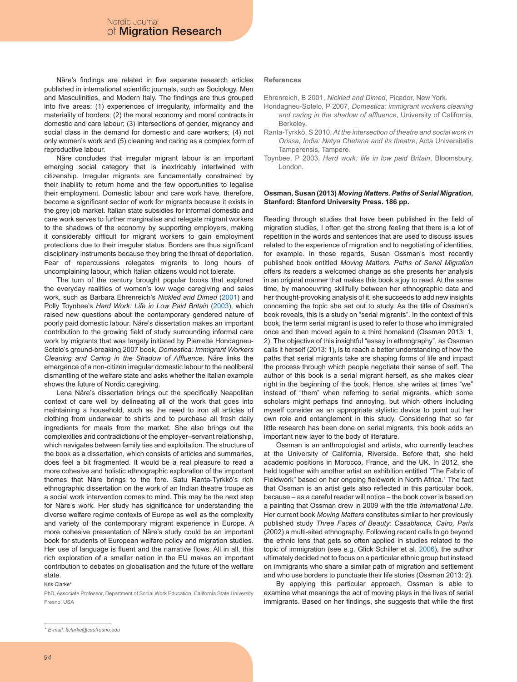Näre's findings are related in five separate research articles published in international scientific journals, such as Sociology, Men and Masculinities, and Modern Italy. The findings are thus grouped into five areas: (1) experiences of irregularity, informality and the materiality of borders; (2) the moral economy and moral contracts in domestic and care labour; (3) intersections of gender, migrancy and social class in the demand for domestic and care workers; (4) not only women's work and (5) cleaning and caring as a complex form of reproductive labour.

Näre concludes that irregular migrant labour is an important emerging social category that is inextricably intertwined with citizenship. Irregular migrants are fundamentally constrained by their inability to return home and the few opportunities to legalise their employment. Domestic labour and care work have, therefore, become a significant sector of work for migrants because it exists in the grey job market. Italian state subsidies for informal domestic and care work serves to further marginalise and relegate migrant workers to the shadows of the economy by supporting employers, making it considerably difficult for migrant workers to gain employment protections due to their irregular status. Borders are thus significant disciplinary instruments because they bring the threat of deportation. Fear of repercussions relegates migrants to long hours of uncomplaining labour, which Italian citizens would not tolerate.

The turn of the century brought popular books that explored the everyday realities of women's low wage caregiving and sales work, such as Barbara Ehrenreich's *Nickled and Dimed* (2001) and Polly Toynbee's *Hard Work: Life in Low Paid Britain (2003)*, which raised new questions about the contemporary gendered nature of poorly paid domestic labour. Näre's dissertation makes an important contribution to the growing field of study surrounding informal care work by migrants that was largely initiated by Pierrette Hondagneu-Sotelo's ground-breaking 2007 book, *Domestica: Immigrant Workers Cleaning and Caring in the Shadow of Affluence*. Näre links the emergence of a non-citizen irregular domestic labour to the neoliberal dismantling of the welfare state and asks whether the Italian example shows the future of Nordic caregiving.

Lena Näre's dissertation brings out the specifically Neapolitan context of care well by delineating all of the work that goes into maintaining a household, such as the need to iron all articles of clothing from underwear to shirts and to purchase all fresh daily ingredients for meals from the market. She also brings out the complexities and contradictions of the employer–servant relationship, which navigates between family ties and exploitation. The structure of the book as a dissertation, which consists of articles and summaries, does feel a bit fragmented. It would be a real pleasure to read a more cohesive and holistic ethnographic exploration of the important themes that Näre brings to the fore. Satu Ranta-Tyrkkö's rich ethnographic dissertation on the work of an Indian theatre troupe as a social work intervention comes to mind. This may be the next step for Näre's work. Her study has significance for understanding the diverse welfare regime contexts of Europe as well as the complexity and variety of the contemporary migrant experience in Europe. A more cohesive presentation of Näre's study could be an important book for students of European welfare policy and migration studies. Her use of language is fluent and the narrative flows. All in all, this rich exploration of a smaller nation in the EU makes an important contribution to debates on globalisation and the future of the welfare state.

Kris Clarke\*

PhD, Associate Professor, Department of Social Work Education, California State University Fresno, USA

#### **References**

Ehrenreich, B 2001, *Nickled and Dimed*, Picador, New York.

- Hondagneu-Sotelo, P 2007, *Domestica: immigrant workers cleaning and caring in the shadow of affluence*, University of California, Berkeley.
- Ranta-Tyrkkö, S 2010, *At the intersection of theatre and social work in Orissa, India: Natya Chetana and its theatre*, Acta Universitatis Tamperensis, Tampere.
- Toynbee, P 2003, *Hard work: life in low paid Britain*, Bloomsbury, London.

### **Ossman, Susan (2013)** *Moving Matters. Paths of Serial Migration***, Stanford: Stanford University Press. 186 pp.**

Reading through studies that have been published in the field of migration studies, I often get the strong feeling that there is a lot of repetition in the words and sentences that are used to discuss issues related to the experience of migration and to negotiating of identities, for example. In those regards, Susan Ossman's most recently published book entitled *Moving Matters. Paths of Serial Migration*  offers its readers a welcomed change as she presents her analysis in an original manner that makes this book a joy to read. At the same time, by manoeuvring skillfully between her ethnographic data and her thought-provoking analysis of it, she succeeds to add new insights concerning the topic she set out to study. As the title of Ossman's book reveals, this is a study on "serial migrants". In the context of this book, the term serial migrant is used to refer to those who immigrated once and then moved again to a third homeland (Ossman 2013: 1, 2). The objective of this insightful "essay in ethnography", as Ossman calls it herself (2013: 1), is to reach a better understanding of how the paths that serial migrants take are shaping forms of life and impact the process through which people negotiate their sense of self. The author of this book is a serial migrant herself, as she makes clear right in the beginning of the book. Hence, she writes at times "we" instead of "them" when referring to serial migrants, which some scholars might perhaps find annoying, but which others including myself consider as an appropriate stylistic device to point out her own role and entanglement in this study. Considering that so far little research has been done on serial migrants, this book adds an important new layer to the body of literature.

Ossman is an anthropologist and artists, who currently teaches at the University of California, Riverside. Before that, she held academic positions in Morocco, France, and the UK. In 2012, she held together with another artist an exhibition entitled "The Fabric of Fieldwork" based on her ongoing fieldwork in North Africa.<sup>1</sup> The fact that Ossman is an artist gets also reflected in this particular book, because – as a careful reader will notice – the book cover is based on a painting that Ossman drew in 2009 with the title *International Life*. Her current book *Moving Matters* constitutes similar to her previously published study *Three Faces of Beauty: Casablanca, Cairo, Paris* (2002) a multi-sited ethnography. Following recent calls to go beyond the ethnic lens that gets so often applied in studies related to the topic of immigration (see e.g. Glick Schiller et al. 2006), the author ultimately decided not to focus on a particular ethnic group but instead on immigrants who share a similar path of migration and settlement and who use borders to punctuate their life stories (Ossman 2013: 2).

By applying this particular approach, Ossman is able to examine what meanings the act of moving plays in the lives of serial immigrants. Based on her findings, she suggests that while the first

*<sup>\*</sup> E-mail: kclarke@csufresno.edu*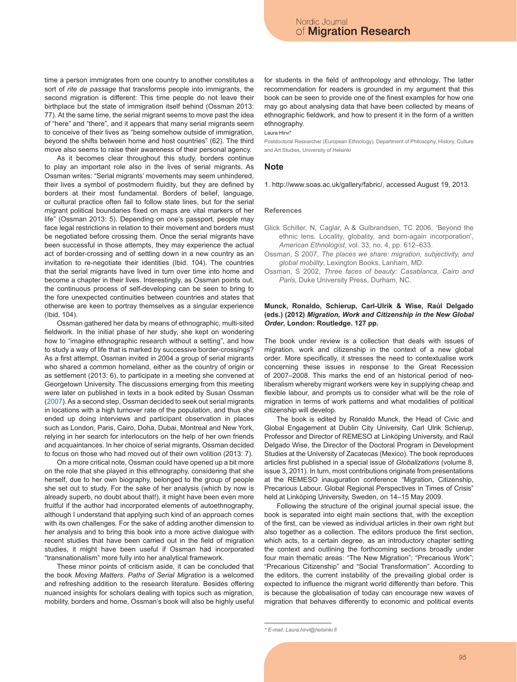time a person immigrates from one country to another constitutes a sort of *rite de passage* that transforms people into immigrants, the second migration is different: This time people do not leave their birthplace but the state of immigration itself behind (Ossman 2013: 77). At the same time, the serial migrant seems to move past the idea of "here" and "there", and it appears that many serial migrants seem to conceive of their lives as "being somehow outside of immigration, beyond the shifts between home and host countries" (62). The third move also seems to raise their awareness of their personal agency.

As it becomes clear throughout this study, borders continue to play an important role also in the lives of serial migrants. As Ossman writes: "Serial migrants' movements may seem unhindered, their lives a symbol of postmodern fluidity, but they are defined by borders at their most fundamental. Borders of belief, language, or cultural practice often fail to follow state lines, but for the serial migrant political boundaries fixed on maps are vital markers of her life" (Ossman 2013: 5). Depending on one's passport, people may face legal restrictions in relation to their movement and borders must be negotiated before crossing them. Once the serial migrants have been successful in those attempts, they may experience the actual act of border-crossing and of settling down in a new country as an invitation to re-negotiate their identities (Ibid. 104). The countries that the serial migrants have lived in turn over time into home and become a chapter in their lives. Interestingly, as Ossman points out, the continuous process of self-developing can be seen to bring to the fore unexpected continuities between countries and states that otherwise are keen to portray themselves as a singular experience (Ibid. 104).

Ossman gathered her data by means of ethnographic, multi-sited fieldwork. In the initial phase of her study, she kept on wondering how to "imagine ethnographic research without a setting", and how to study a way of life that is marked by successive border-crossings? As a first attempt, Ossman invited in 2004 a group of serial migrants who shared a common homeland, either as the country of origin or as settlement (2013: 6), to participate in a meeting she convened at Georgetown University. The discussions emerging from this meeting were later on published in texts in a book edited by Susan Ossman (2007). As a second step, Ossman decided to seek out serial migrants in locations with a high turnover rate of the population, and thus she ended up doing interviews and participant observation in places such as London, Paris, Cairo, Doha, Dubai, Montreal and New York, relying in her search for interlocutors on the help of her own friends and acquaintances. In her choice of serial migrants, Ossman decided to focus on those who had moved out of their own volition (2013: 7).

On a more critical note, Ossman could have opened up a bit more on the role that she played in this ethnography, considering that she herself, due to her own biography, belonged to the group of people she set out to study. For the sake of her analysis (which by now is already superb, no doubt about that!), it might have been even more fruitful if the author had incorporated elements of autoethnography, although I understand that applying such kind of an approach comes with its own challenges. For the sake of adding another dimension to her analysis and to bring this book into a more active dialogue with recent studies that have been carried out in the field of migration studies, it might have been useful if Ossman had incorporated "transnationalism" more fully into her analytical framework.

These minor points of criticism aside, it can be concluded that the book *Moving Matters. Paths of Serial Migration* is a welcomed and refreshing addition to the research literature. Besides offering nuanced insights for scholars dealing with topics such as migration, mobility, borders and home, Ossman's book will also be highly useful for students in the field of anthropology and ethnology. The latter recommendation for readers is grounded in my argument that this book can be seen to provide one of the finest examples for how one may go about analysing data that have been collected by means of ethnographic fieldwork, and how to present it in the form of a written ethnography.

Laura Hirvi\*

Postdoctoral Researcher (European Ethnology), Department of Philosophy, History, Culture and Art Studies, University of Helsinki

#### **Note**

1. http://www.soas.ac.uk/gallery/fabric/, accessed August 19, 2013.

#### **References**

- Glick Schiller, N, Caglar, A & Gulbrandsen, TC 2006, 'Beyond the ethnic lens. Locality, globality, and born-again incorporation', *American Ethnologist*, vol. 33, no. 4, pp. 612–633.
- Ossman, S 2007, *The places we share: migration, subjectivity, and global mobility*, Lexington Books, Lanham, MD.
- Ossman, S 2002, *Three faces of beauty: Casablanca, Cairo and Paris*, Duke University Press, Durham, NC.

# **Munck, Ronaldo, Schierup, Carl-Ulrik & Wise, Raúl Delgado (eds.) (2012)** *Migration, Work and Citizenship in the New Global Order***, London: Routledge. 127 pp.**

The book under review is a collection that deals with issues of migration, work and citizenship in the context of a new global order. More specifically, it stresses the need to contextualise work concerning these issues in response to the Great Recession of 2007–2008. This marks the end of an historical period of neoliberalism whereby migrant workers were key in supplying cheap and flexible labour, and prompts us to consider what will be the role of migration in terms of work patterns and what modalities of political citizenship will develop.

The book is edited by Ronaldo Munck, the Head of Civic and Global Engagement at Dublin City University, Carl Ulrik Schierup, Professor and Director of REMESO at Linköping University, and Raúl Delgado Wise, the Director of the Doctoral Program in Development Studies at the University of Zacatecas (Mexico). The book reproduces articles first published in a special issue of *Globalizations* (volume 8, issue 3, 2011). In turn, most contributions originate from presentations at the REMESO inauguration conference "Migration, Citizenship, Precarious Labour. Global Regional Perspectives in Times of Crisis" held at Linköping University, Sweden, on 14–15 May 2009.

Following the structure of the original journal special issue, the book is separated into eight main sections that, with the exception of the first, can be viewed as individual articles in their own right but also together as a collection. The editors produce the first section, which acts, to a certain degree, as an introductory chapter setting the context and outlining the forthcoming sections broadly under four main thematic areas: "The New Migration"; "Precarious Work"; "Precarious Citizenship" and "Social Transformation". According to the editors, the current instability of the prevailing global order is expected to influence the migrant world differently than before. This is because the globalisation of today can encourage new waves of migration that behaves differently to economic and political events

*<sup>\*</sup> E-mail: Laura.hirvi@helsinki.fi*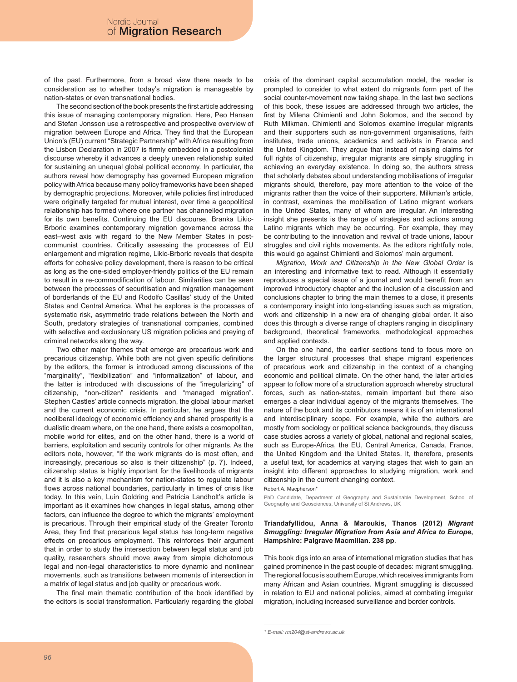of the past. Furthermore, from a broad view there needs to be consideration as to whether today's migration is manageable by nation-states or even transnational bodies.

The second section of the book presents the first article addressing this issue of managing contemporary migration. Here, Peo Hansen and Stefan Jonsson use a retrospective and prospective overview of migration between Europe and Africa. They find that the European Union's (EU) current "Strategic Partnership" with Africa resulting from the Lisbon Declaration in 2007 is firmly embedded in a postcolonial discourse whereby it advances a deeply uneven relationship suited for sustaining an unequal global political economy. In particular, the authors reveal how demography has governed European migration policy with Africa because many policy frameworks have been shaped by demographic projections. Moreover, while policies first introduced were originally targeted for mutual interest, over time a geopolitical relationship has formed where one partner has channelled migration for its own benefits. Continuing the EU discourse, Branka Likic-Brboric examines contemporary migration governance across the east–west axis with regard to the New Member States in postcommunist countries. Critically assessing the processes of EU enlargement and migration regime, Likic-Brboric reveals that despite efforts for cohesive policy development, there is reason to be critical as long as the one-sided employer-friendly politics of the EU remain to result in a re-commodification of labour. Similarities can be seen between the processes of securitisation and migration management of borderlands of the EU and Rodolfo Casillas' study of the United States and Central America. What he explores is the processes of systematic risk, asymmetric trade relations between the North and South, predatory strategies of transnational companies, combined with selective and exclusionary US migration policies and preying of criminal networks along the way.

Two other major themes that emerge are precarious work and precarious citizenship. While both are not given specific definitions by the editors, the former is introduced among discussions of the "marginality", "flexibilization" and "informalization" of labour, and the latter is introduced with discussions of the "irregularizing" of citizenship, "non-citizen" residents and "managed migration". Stephen Castles' article connects migration, the global labour market and the current economic crisis. In particular, he argues that the neoliberal ideology of economic efficiency and shared prosperity is a dualistic dream where, on the one hand, there exists a cosmopolitan, mobile world for elites, and on the other hand, there is a world of barriers, exploitation and security controls for other migrants. As the editors note, however, "If the work migrants do is most often, and increasingly, precarious so also is their citizenship" (p. 7). Indeed, citizenship status is highly important for the livelihoods of migrants and it is also a key mechanism for nation-states to regulate labour flows across national boundaries, particularly in times of crisis like today. In this vein, Luin Goldring and Patricia Landholt's article is important as it examines how changes in legal status, among other factors, can influence the degree to which the migrants' employment is precarious. Through their empirical study of the Greater Toronto Area, they find that precarious legal status has long-term negative effects on precarious employment. This reinforces their argument that in order to study the intersection between legal status and job quality, researchers should move away from simple dichotomous legal and non-legal characteristics to more dynamic and nonlinear movements, such as transitions between moments of intersection in a matrix of legal status and job quality or precarious work.

The final main thematic contribution of the book identified by the editors is social transformation. Particularly regarding the global crisis of the dominant capital accumulation model, the reader is prompted to consider to what extent do migrants form part of the social counter-movement now taking shape. In the last two sections of this book, these issues are addressed through two articles, the first by Milena Chimienti and John Solomos, and the second by Ruth Milkman. Chimienti and Solomos examine irregular migrants and their supporters such as non-government organisations, faith institutes, trade unions, academics and activists in France and the United Kingdom. They argue that instead of raising claims for full rights of citizenship, irregular migrants are simply struggling in achieving an everyday existence. In doing so, the authors stress that scholarly debates about understanding mobilisations of irregular migrants should, therefore, pay more attention to the voice of the migrants rather than the voice of their supporters. Milkman's article, in contrast, examines the mobilisation of Latino migrant workers in the United States, many of whom are irregular. An interesting insight she presents is the range of strategies and actions among Latino migrants which may be occurring. For example, they may be contributing to the innovation and revival of trade unions, labour struggles and civil rights movements. As the editors rightfully note, this would go against Chimienti and Solomos' main argument.

*Migration, Work and Citizenship in the New Global Order* is an interesting and informative text to read. Although it essentially reproduces a special issue of a journal and would benefit from an improved introductory chapter and the inclusion of a discussion and conclusions chapter to bring the main themes to a close, it presents a contemporary insight into long-standing issues such as migration, work and citizenship in a new era of changing global order. It also does this through a diverse range of chapters ranging in disciplinary background, theoretical frameworks, methodological approaches and applied contexts.

On the one hand, the earlier sections tend to focus more on the larger structural processes that shape migrant experiences of precarious work and citizenship in the context of a changing economic and political climate. On the other hand, the later articles appear to follow more of a structuration approach whereby structural forces, such as nation-states, remain important but there also emerges a clear individual agency of the migrants themselves. The nature of the book and its contributors means it is of an international and interdisciplinary scope. For example, while the authors are mostly from sociology or political science backgrounds, they discuss case studies across a variety of global, national and regional scales, such as Europe-Africa, the EU, Central America, Canada, France, the United Kingdom and the United States. It, therefore, presents a useful text, for academics at varying stages that wish to gain an insight into different approaches to studying migration, work and citizenship in the current changing context.

Robert A. Macpherson\*

PhD Candidate, Department of Geography and Sustainable Development, School of Geography and Geosciences, University of St Andrews, UK

# **Triandafyllidou, Anna & Maroukis, Thanos (2012)** *Migrant Smuggling: Irregular Migration from Asia and Africa to Europe***, Hampshire: Palgrave Macmillan. 238 pp**.

This book digs into an area of international migration studies that has gained prominence in the past couple of decades: migrant smuggling. The regional focus is southern Europe, which receives immigrants from many African and Asian countries. Migrant smuggling is discussed in relation to EU and national policies, aimed at combating irregular migration, including increased surveillance and border controls.

*<sup>\*</sup> E-mail: rm204@st-andrews.ac.uk*